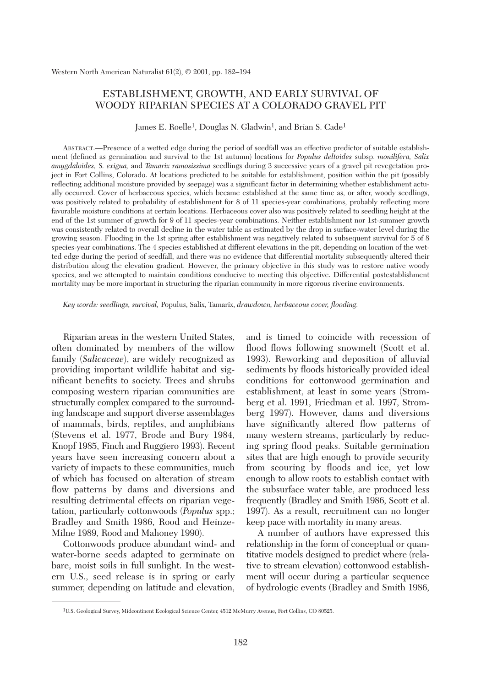# ESTABLISHMENT, GROWTH, AND EARLY SURVIVAL OF WOODY RIPARIAN SPECIES AT A COLORADO GRAVEL PIT

James E. Roelle<sup>1</sup>, Douglas N. Gladwin<sup>1</sup>, and Brian S. Cade<sup>1</sup>

ABSTRACT.—Presence of a wetted edge during the period of seedfall was an effective predictor of suitable establishment (defined as germination and survival to the 1st autumn) locations for *Populus deltoides* subsp. *monilifera, Salix amygdaloides, S. exigua,* and *Tamarix ramosissima* seedlings during 3 successive years of a gravel pit revegetation project in Fort Collins, Colorado. At locations predicted to be suitable for establishment, position within the pit (possibly reflecting additional moisture provided by seepage) was a significant factor in determining whether establishment actually occurred. Cover of herbaceous species, which became established at the same time as, or after, woody seedlings, was positively related to probability of establishment for 8 of 11 species-year combinations, probably reflecting more favorable moisture conditions at certain locations. Herbaceous cover also was positively related to seedling height at the end of the 1st summer of growth for 9 of 11 species-year combinations. Neither establishment nor 1st-summer growth was consistently related to overall decline in the water table as estimated by the drop in surface-water level during the growing season. Flooding in the 1st spring after establishment was negatively related to subsequent survival for 5 of 8 species-year combinations. The 4 species established at different elevations in the pit, depending on location of the wetted edge during the period of seedfall, and there was no evidence that differential mortality subsequently altered their distribution along the elevation gradient. However, the primary objective in this study was to restore native woody species, and we attempted to maintain conditions conducive to meeting this objective. Differential postestablishment mortality may be more important in structuring the riparian community in more rigorous riverine environments.

*Key words: seedlings, survival,* Populus, Salix, Tamarix, *drawdown, herbaceous cover, flooding.*

Riparian areas in the western United States, often dominated by members of the willow family (*Salicaceae*), are widely recognized as providing important wildlife habitat and significant benefits to society. Trees and shrubs composing western riparian communities are structurally complex compared to the surrounding landscape and support diverse assemblages of mammals, birds, reptiles, and amphibians (Stevens et al. 1977, Brode and Bury 1984, Knopf 1985, Finch and Ruggiero 1993). Recent years have seen increasing concern about a variety of impacts to these communities, much of which has focused on alteration of stream flow patterns by dams and diversions and resulting detrimental effects on riparian vegetation, particularly cottonwoods (*Populus* spp.; Bradley and Smith 1986, Rood and Heinze-Milne 1989, Rood and Mahoney 1990).

Cottonwoods produce abundant wind- and water-borne seeds adapted to germinate on bare, moist soils in full sunlight. In the western U.S., seed release is in spring or early summer, depending on latitude and elevation, and is timed to coincide with recession of flood flows following snowmelt (Scott et al. 1993). Reworking and deposition of alluvial sediments by floods historically provided ideal conditions for cottonwood germination and establishment, at least in some years (Stromberg et al. 1991, Friedman et al. 1997, Stromberg 1997). However, dams and diversions have significantly altered flow patterns of many western streams, particularly by reducing spring flood peaks. Suitable germination sites that are high enough to provide security from scouring by floods and ice, yet low enough to allow roots to establish contact with the subsurface water table, are produced less frequently (Bradley and Smith 1986, Scott et al. 1997). As a result, recruitment can no longer keep pace with mortality in many areas.

A number of authors have expressed this relationship in the form of conceptual or quantitative models designed to predict where (relative to stream elevation) cottonwood establishment will occur during a particular sequence of hydrologic events (Bradley and Smith 1986,

<sup>1</sup>U.S. Geological Survey, Midcontinent Ecological Science Center, 4512 McMurry Avenue, Fort Collins, CO 80525.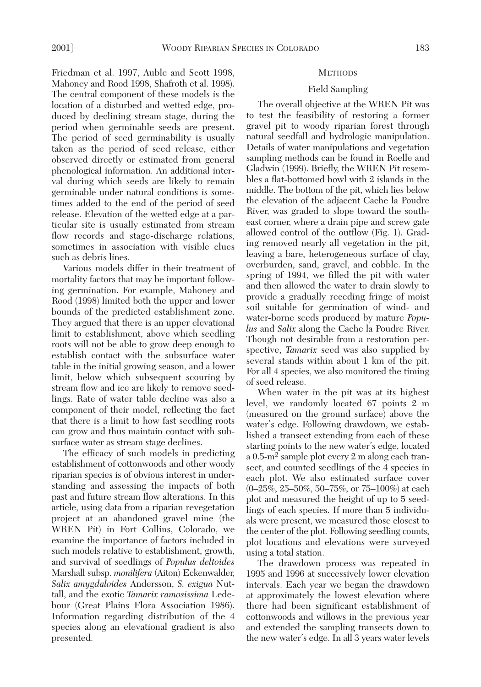Friedman et al. 1997, Auble and Scott 1998, Mahoney and Rood 1998, Shafroth et al. 1998). The central component of these models is the location of a disturbed and wetted edge, produced by declining stream stage, during the period when germinable seeds are present. The period of seed germinability is usually taken as the period of seed release, either observed directly or estimated from general phenological information. An additional interval during which seeds are likely to remain germinable under natural conditions is sometimes added to the end of the period of seed release. Elevation of the wetted edge at a particular site is usually estimated from stream flow records and stage-discharge relations, sometimes in association with visible clues such as debris lines.

Various models differ in their treatment of mortality factors that may be important following germination. For example, Mahoney and Rood (1998) limited both the upper and lower bounds of the predicted establishment zone. They argued that there is an upper elevational limit to establishment, above which seedling roots will not be able to grow deep enough to establish contact with the subsurface water table in the initial growing season, and a lower limit, below which subsequent scouring by stream flow and ice are likely to remove seedlings. Rate of water table decline was also a component of their model, reflecting the fact that there is a limit to how fast seedling roots can grow and thus maintain contact with subsurface water as stream stage declines.

The efficacy of such models in predicting establishment of cottonwoods and other woody riparian species is of obvious interest in understanding and assessing the impacts of both past and future stream flow alterations. In this article, using data from a riparian revegetation project at an abandoned gravel mine (the WREN Pit) in Fort Collins, Colorado, we examine the importance of factors included in such models relative to establishment, growth, and survival of seedlings of *Populus deltoides* Marshall subsp. *monilifera* (Aiton) Eckenwalder, *Salix amygdaloides* Andersson, *S. exigua* Nuttall, and the exotic *Tamarix ramosissima* Ledebour (Great Plains Flora Association 1986). Information regarding distribution of the 4 species along an elevational gradient is also presented.

#### **METHODS**

# Field Sampling

The overall objective at the WREN Pit was to test the feasibility of restoring a former gravel pit to woody riparian forest through natural seedfall and hydrologic manipulation. Details of water manipulations and vegetation sampling methods can be found in Roelle and Gladwin (1999). Briefly, the WREN Pit resembles a flat-bottomed bowl with 2 islands in the middle. The bottom of the pit, which lies below the elevation of the adjacent Cache la Poudre River, was graded to slope toward the southeast corner, where a drain pipe and screw gate allowed control of the outflow (Fig. 1). Grading removed nearly all vegetation in the pit, leaving a bare, heterogeneous surface of clay, overburden, sand, gravel, and cobble. In the spring of 1994, we filled the pit with water and then allowed the water to drain slowly to provide a gradually receding fringe of moist soil suitable for germination of wind- and water-borne seeds produced by mature *Populus* and *Salix* along the Cache la Poudre River. Though not desirable from a restoration perspective, *Tamarix* seed was also supplied by several stands within about 1 km of the pit. For all 4 species, we also monitored the timing of seed release.

When water in the pit was at its highest level, we randomly located 67 points 2 m (measured on the ground surface) above the water's edge. Following drawdown, we established a transect extending from each of these starting points to the new water's edge, located a 0.5-m2 sample plot every 2 m along each transect, and counted seedlings of the 4 species in each plot. We also estimated surface cover (0–25%, 25–50%, 50–75%, or 75–100%) at each plot and measured the height of up to 5 seedlings of each species. If more than 5 individuals were present, we measured those closest to the center of the plot. Following seedling counts, plot locations and elevations were surveyed using a total station.

The drawdown process was repeated in 1995 and 1996 at successively lower elevation intervals. Each year we began the drawdown at approximately the lowest elevation where there had been significant establishment of cottonwoods and willows in the previous year and extended the sampling transects down to the new water's edge. In all 3 years water levels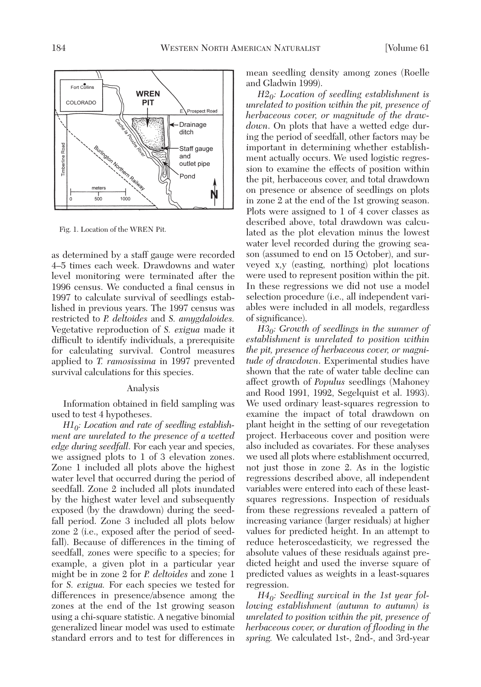

Fig. 1. Location of the WREN Pit.

as determined by a staff gauge were recorded 4–5 times each week. Drawdowns and water level monitoring were terminated after the 1996 census. We conducted a final census in 1997 to calculate survival of seedlings established in previous years. The 1997 census was restricted to *P. deltoides* and *S. amygdaloides.* Vegetative reproduction of *S. exigua* made it difficult to identify individuals, a prerequisite for calculating survival. Control measures applied to *T. ramosissima* in 1997 prevented survival calculations for this species.

#### Analysis

Information obtained in field sampling was used to test 4 hypotheses.

*H10: Location and rate of seedling establishment are unrelated to the presence of a wetted edge during seedfall*. For each year and species, we assigned plots to 1 of 3 elevation zones. Zone 1 included all plots above the highest water level that occurred during the period of seedfall. Zone 2 included all plots inundated by the highest water level and subsequently exposed (by the drawdown) during the seedfall period. Zone 3 included all plots below zone 2 (i.e., exposed after the period of seedfall). Because of differences in the timing of seedfall, zones were specific to a species; for example, a given plot in a particular year might be in zone 2 for *P. deltoides* and zone 1 for *S. exigua.* For each species we tested for differences in presence/absence among the zones at the end of the 1st growing season using a chi-square statistic. A negative binomial generalized linear model was used to estimate standard errors and to test for differences in mean seedling density among zones (Roelle and Gladwin 1999).

*H20: Location of seedling establishment is unrelated to position within the pit, presence of herbaceous cover, or magnitude of the drawdown*. On plots that have a wetted edge during the period of seedfall, other factors may be important in determining whether establishment actually occurs. We used logistic regression to examine the effects of position within the pit, herbaceous cover, and total drawdown on presence or absence of seedlings on plots in zone 2 at the end of the 1st growing season. Plots were assigned to 1 of 4 cover classes as described above, total drawdown was calculated as the plot elevation minus the lowest water level recorded during the growing season (assumed to end on 15 October), and surveyed x,y (easting, northing) plot locations were used to represent position within the pit. In these regressions we did not use a model selection procedure (i.e., all independent variables were included in all models, regardless of significance).

*H30: Growth of seedlings in the summer of establishment is unrelated to position within the pit, presence of herbaceous cover, or magnitude of drawdown*. Experimental studies have shown that the rate of water table decline can affect growth of *Populus* seedlings (Mahoney and Rood 1991, 1992, Segelquist et al. 1993). We used ordinary least-squares regression to examine the impact of total drawdown on plant height in the setting of our revegetation project. Herbaceous cover and position were also included as covariates. For these analyses we used all plots where establishment occurred, not just those in zone 2. As in the logistic regressions described above, all independent variables were entered into each of these leastsquares regressions. Inspection of residuals from these regressions revealed a pattern of increasing variance (larger residuals) at higher values for predicted height. In an attempt to reduce heteroscedasticity, we regressed the absolute values of these residuals against predicted height and used the inverse square of predicted values as weights in a least-squares regression.

*H40: Seedling survival in the 1st year following establishment (autumn to autumn) is unrelated to position within the pit, presence of herbaceous cover, or duration of flooding in the spring.* We calculated 1st-, 2nd-, and 3rd-year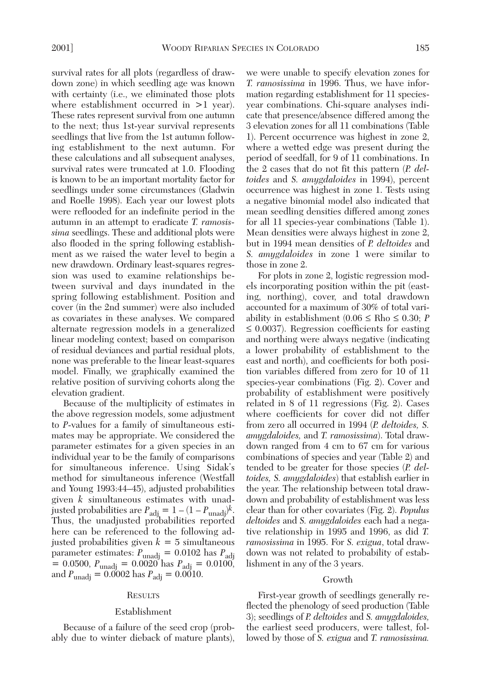survival rates for all plots (regardless of drawdown zone) in which seedling age was known with certainty (i.e., we eliminated those plots where establishment occurred in  $>1$  year). These rates represent survival from one autumn to the next; thus 1st-year survival represents seedlings that live from the 1st autumn following establishment to the next autumn. For these calculations and all subsequent analyses, survival rates were truncated at 1.0. Flooding is known to be an important mortality factor for seedlings under some circumstances (Gladwin and Roelle 1998). Each year our lowest plots were reflooded for an indefinite period in the autumn in an attempt to eradicate *T. ramosissima* seedlings. These and additional plots were also flooded in the spring following establishment as we raised the water level to begin a new drawdown. Ordinary least-squares regression was used to examine relationships between survival and days inundated in the spring following establishment. Position and cover (in the 2nd summer) were also included as covariates in these analyses. We compared alternate regression models in a generalized linear modeling context; based on comparison of residual deviances and partial residual plots, none was preferable to the linear least-squares model. Finally, we graphically examined the relative position of surviving cohorts along the elevation gradient.

Because of the multiplicity of estimates in the above regression models, some adjustment to *P*-values for a family of simultaneous estimates may be appropriate. We considered the parameter estimates for a given species in an individual year to be the family of comparisons for simultaneous inference. Using Sidak's method for simultaneous inference (Westfall and Young 1993:44–45), adjusted probabilities given *k* simultaneous estimates with unadjusted probabilities are  $P_{\text{adj}} = 1 - (1 - P_{\text{unadj}})^k$ . Thus, the unadjusted probabilities reported here can be referenced to the following adjusted probabilities given  $k = 5$  simultaneous parameter estimates:  $P_{\text{unadj}} = 0.0102$  has  $P_{\text{adj}}$  $= 0.0500, P_{\text{unadj}} = 0.0020 \text{ has } P_{\text{adj}} = 0.0100,$ and *P*unadj = 0.0002 has *P*adj = 0.0010.

# **RESULTS**

#### Establishment

Because of a failure of the seed crop (probably due to winter dieback of mature plants),

we were unable to specify elevation zones for *T. ramosissima* in 1996. Thus, we have information regarding establishment for 11 speciesyear combinations. Chi-square analyses indicate that presence/absence differed among the 3 elevation zones for all 11 combinations (Table 1). Percent occurrence was highest in zone 2, where a wetted edge was present during the period of seedfall, for 9 of 11 combinations. In the 2 cases that do not fit this pattern (*P. deltoides* and *S. amygdaloides* in 1994), percent occurrence was highest in zone 1. Tests using a negative binomial model also indicated that mean seedling densities differed among zones for all 11 species-year combinations (Table 1). Mean densities were always highest in zone 2, but in 1994 mean densities of *P. deltoides* and *S. amygdaloides* in zone 1 were similar to those in zone 2.

For plots in zone 2, logistic regression models incorporating position within the pit (easting, northing), cover, and total drawdown accounted for a maximum of 30% of total variability in establishment (0.06 ≤ Rho ≤ 0.30; *P*  $\leq$  0.0037). Regression coefficients for easting and northing were always negative (indicating a lower probability of establishment to the east and north), and coefficients for both position variables differed from zero for 10 of 11 species-year combinations (Fig. 2). Cover and probability of establishment were positively related in 8 of 11 regressions (Fig. 2). Cases where coefficients for cover did not differ from zero all occurred in 1994 (*P. deltoides, S. amygdaloides,* and *T. ramosissima*). Total drawdown ranged from 4 cm to 67 cm for various combinations of species and year (Table 2) and tended to be greater for those species (*P. deltoides, S. amygdaloides*) that establish earlier in the year. The relationship between total drawdown and probability of establishment was less clear than for other covariates (Fig. 2). *Populus deltoides* and *S. amygdaloides* each had a negative relationship in 1995 and 1996, as did *T. ramosissima* in 1995. For *S. exigua*, total drawdown was not related to probability of establishment in any of the 3 years.

# Growth

First-year growth of seedlings generally reflected the phenology of seed production (Table 3); seedlings of *P. deltoides* and *S. amygdaloides,* the earliest seed producers, were tallest, followed by those of *S. exigua* and *T. ramosissima.*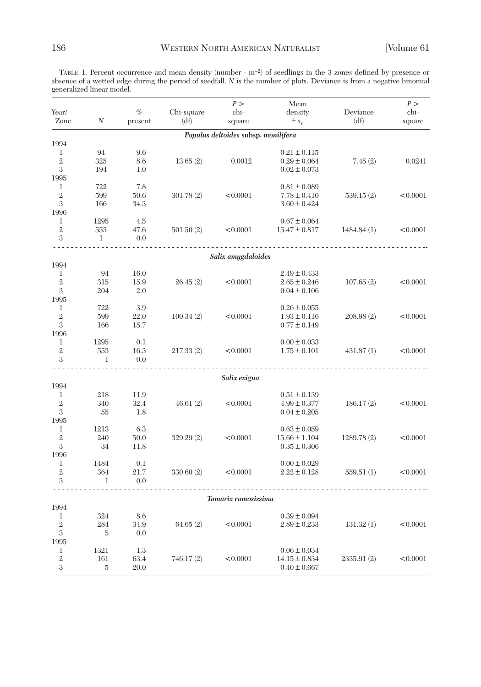TABLE 1. Percent occurrence and mean density (number ⋅ m–2) of seedlings in the 3 zones defined by presence or absence of a wetted edge during the period of seedfall. *N* is the number of plots. Deviance is from a negative binomial generalized linear model.

|                |                     |         |            | P >                                 | Mean                   |            | P >      |
|----------------|---------------------|---------|------------|-------------------------------------|------------------------|------------|----------|
| Year/          |                     | $\%$    | Chi-square | chi-                                | density                | Deviance   | chi-     |
| Zone           | $\cal N$            | present | (df)       | square                              | $\pm s_{\overline{x}}$ | (df)       | square   |
|                |                     |         |            | Populus deltoides subsp. monilifera |                        |            |          |
| 1994           |                     |         |            |                                     |                        |            |          |
| 1              | 94                  | 9.6     |            |                                     | $0.21 \pm 0.115$       |            |          |
| $\mathbf{2}$   | 325                 | 8.6     | 13.65(2)   | 0.0012                              | $0.29 \pm 0.064$       | 7.45(2)    | 0.0241   |
| 3              | 194                 | 1.0     |            |                                     | $0.02 \pm 0.073$       |            |          |
| 1995           |                     |         |            |                                     |                        |            |          |
| 1              | 722                 | 7.8     |            |                                     | $0.81 \pm 0.089$       |            |          |
| $\mathbf{2}$   | 599                 | 50.6    | 301.78(2)  | < 0.0001                            | $7.78 \pm 0.410$       | 539.15(2)  | < 0.0001 |
| 3              | 166                 | 34.3    |            |                                     | $3.60 \pm 0.424$       |            |          |
| 1996           |                     |         |            |                                     |                        |            |          |
| 1              | 1295                | 4.5     |            |                                     | $0.67 \pm 0.064$       |            |          |
| $\overline{2}$ | 553                 | 47.6    | 501.50(2)  | < 0.0001                            | $15.47 \pm 0.817$      | 1484.84(1) | < 0.0001 |
| 3              | 1                   | 0.0     |            |                                     |                        |            |          |
|                |                     |         |            | Salix amygdaloides                  |                        |            |          |
| 1994           |                     |         |            |                                     |                        |            |          |
| 1              | 94                  | 16.0    |            |                                     | $2.49 \pm 0.433$       |            |          |
| $\mathbf{2}$   | 315                 | 15.9    | 26.45(2)   | < 0.0001                            | $2.65 \pm 0.246$       | 107.65(2)  | < 0.0001 |
| 3              | 204                 | 2.0     |            |                                     | $0.04 \pm 0.106$       |            |          |
| 1995           |                     |         |            |                                     |                        |            |          |
| 1              | 722                 | 3.9     |            |                                     | $0.26 \pm 0.055$       |            |          |
| $\sqrt{2}$     | 599                 | 22.0    | 100.34(2)  | < 0.0001                            | $1.93 \pm 0.116$       | 208.98(2)  | < 0.0001 |
| 3              | 166                 | 15.7    |            |                                     | $0.77 \pm 0.149$       |            |          |
| 1996           |                     |         |            |                                     |                        |            |          |
| 1              | 1295                | 0.1     |            |                                     | $0.00 \pm 0.033$       |            |          |
| $\mathbf{2}$   | 553                 | 16.3    | 217.33(2)  | < 0.0001                            | $1.75 \pm 0.101$       | 431.87(1)  | < 0.0001 |
| 3              | 1                   | 0.0     |            |                                     |                        |            |          |
|                |                     |         |            | Salix exigua                        |                        |            |          |
| 1994           |                     |         |            |                                     |                        |            |          |
| 1              | 218                 | 11.9    |            |                                     | $0.51 \pm 0.139$       |            |          |
| $\overline{2}$ | 340                 | 32.4    | 46.61(2)   | < 0.0001                            | $4.99 \pm 0.377$       | 186.17(2)  | < 0.0001 |
| 3              | 55                  | 1.8     |            |                                     | $0.04 \pm 0.205$       |            |          |
| 1995           |                     |         |            |                                     |                        |            |          |
| 1              | 1213                | 6.3     |            |                                     | $0.63 \pm 0.059$       |            |          |
| $\mathbf{2}$   | 240                 | 50.0    | 329.29(2)  | < 0.0001                            | $15.66 \pm 1.104$      | 1289.78(2) | < 0.0001 |
| 3              | 34                  | 11.8    |            |                                     | $0.35 \pm 0.306$       |            |          |
| 1996           |                     |         |            |                                     |                        |            |          |
| 1              | 1484                | 0.1     |            |                                     | $0.00 \pm 0.029$       |            |          |
| $\mathbf 2$    | 364                 | 21.7    | 330.60(2)  | < 0.0001                            | $2.22 \pm 0.128$       | 559.51(1)  | < 0.0001 |
| 3              | 1                   | 0.0     |            |                                     |                        |            |          |
|                | Tamarix ramosissima |         |            |                                     |                        |            |          |
| 1994           |                     |         |            |                                     |                        |            |          |
| 1              | 324                 | 8.6     |            |                                     | $0.39 \pm 0.094$       |            |          |
| $\overline{2}$ | 284                 | 34.9    | 64.65(2)   | < 0.0001                            | $2.89 \pm 0.233$       | 131.32(1)  | < 0.0001 |
| 3              | 5                   | 0.0     |            |                                     |                        |            |          |
| 1995           |                     |         |            |                                     |                        |            |          |
| 1              | 1321                | 1.3     |            |                                     | $0.06 \pm 0.034$       |            |          |
| $\mathbf 2$    | 161                 | 63.4    | 746.17(2)  | < 0.0001                            | $14.15 \pm 0.834$      | 2335.91(2) | < 0.0001 |
| 3              | $\overline{5}$      | 20.0    |            |                                     | $0.40 \pm 0.667$       |            |          |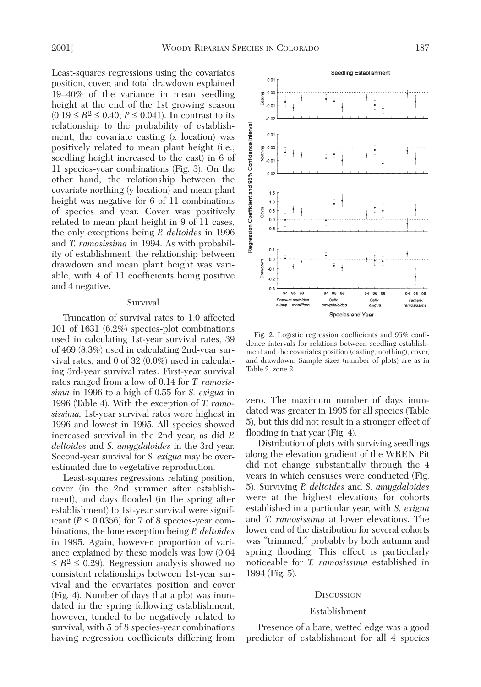Least-squares regressions using the covariates position, cover, and total drawdown explained 19–40% of the variance in mean seedling height at the end of the 1st growing season  $(0.19 ≤ R<sup>2</sup> ≤ 0.40; P ≤ 0.041)$ . In contrast to its relationship to the probability of establishment, the covariate easting (x location) was positively related to mean plant height (i.e., seedling height increased to the east) in 6 of 11 species-year combinations (Fig. 3). On the other hand, the relationship between the covariate northing (y location) and mean plant height was negative for 6 of 11 combinations of species and year. Cover was positively related to mean plant height in 9 of 11 cases, the only exceptions being *P. deltoides* in 1996 and *T. ramosissima* in 1994. As with probability of establishment, the relationship between drawdown and mean plant height was variable, with 4 of 11 coefficients being positive and 4 negative.

## Survival

Truncation of survival rates to 1.0 affected 101 of 1631 (6.2%) species-plot combinations used in calculating 1st-year survival rates, 39 of 469 (8.3%) used in calculating 2nd-year survival rates, and 0 of 32 (0.0%) used in calculating 3rd-year survival rates. First-year survival rates ranged from a low of 0.14 for *T. ramosissima* in 1996 to a high of 0.55 for *S. exigua* in 1996 (Table 4). With the exception of *T. ramosissima,* 1st-year survival rates were highest in 1996 and lowest in 1995. All species showed increased survival in the 2nd year, as did *P. deltoides* and *S. amygdaloides* in the 3rd year. Second-year survival for *S. exigua* may be overestimated due to vegetative reproduction.

Least-squares regressions relating position, cover (in the 2nd summer after establishment), and days flooded (in the spring after establishment) to 1st-year survival were significant ( $P \le 0.0356$ ) for 7 of 8 species-year combinations, the lone exception being *P. deltoides* in 1995. Again, however, proportion of variance explained by these models was low (0.04  $\leq R^2 \leq 0.29$ ). Regression analysis showed no consistent relationships between 1st-year survival and the covariates position and cover (Fig. 4). Number of days that a plot was inundated in the spring following establishment, however, tended to be negatively related to survival, with 5 of 8 species-year combinations having regression coefficients differing from



Fig. 2. Logistic regression coefficients and 95% confidence intervals for relations between seedling establishment and the covariates position (easting, northing), cover, and drawdown. Sample sizes (number of plots) are as in Table 2, zone 2.

zero. The maximum number of days inundated was greater in 1995 for all species (Table 5), but this did not result in a stronger effect of flooding in that year (Fig. 4).

Distribution of plots with surviving seedlings along the elevation gradient of the WREN Pit did not change substantially through the 4 years in which censuses were conducted (Fig. 5). Surviving *P. deltoides* and *S. amygdaloides* were at the highest elevations for cohorts established in a particular year, with *S. exigua* and *T. ramosissima* at lower elevations. The lower end of the distribution for several cohorts was "trimmed," probably by both autumn and spring flooding. This effect is particularly noticeable for *T. ramosissima* established in 1994 (Fig. 5).

#### **DISCUSSION**

#### Establishment

Presence of a bare, wetted edge was a good predictor of establishment for all 4 species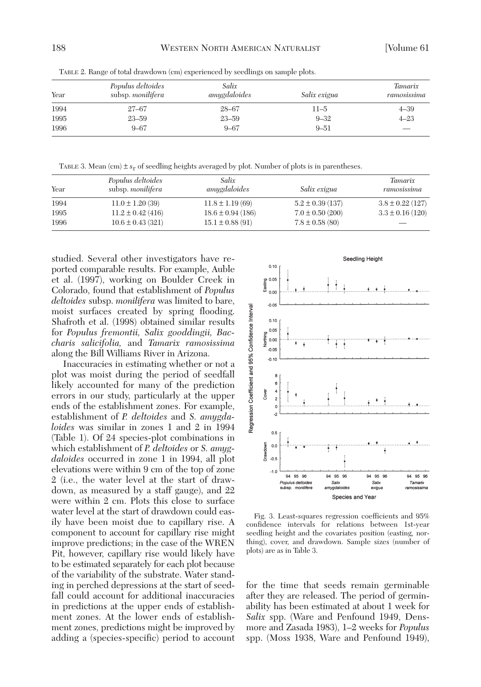| Year | Populus deltoides<br>subsp. monilifera | Salix<br>amygdaloides | Salix exigua | <b>Tamarix</b><br>ramosissima |
|------|----------------------------------------|-----------------------|--------------|-------------------------------|
| 1994 | $27 - 67$                              | $28 - 67$             | $11 - 5$     | $4 - 39$                      |
| 1995 | $23 - 59$                              | $23 - 59$             | $9 - 32$     | $4 - 23$                      |
| 1996 | $9 - 67$                               | $9 - 67$              | $9 - 51$     |                               |

TABLE 2. Range of total drawdown (cm) experienced by seedlings on sample plots.

TABLE 3. Mean (cm)  $\pm s_{\overline{x}}$  of seedling heights averaged by plot. Number of plots is in parentheses.

| Year | Populus deltoides<br>subsp. <i>monilifera</i> | Salix<br>amygdaloides | Salix exigua         | <i>Tamarix</i><br>ramosissima |
|------|-----------------------------------------------|-----------------------|----------------------|-------------------------------|
| 1994 | $11.0 \pm 1.20$ (39)                          | $11.8 \pm 1.19(69)$   | $5.2 \pm 0.39$ (137) | $3.8 \pm 0.22$ (127)          |
| 1995 | $11.2 \pm 0.42$ (416)                         | $18.6 \pm 0.94$ (186) | $7.0 \pm 0.50$ (200) | $3.3 \pm 0.16$ (120)          |
| 1996 | $10.6 \pm 0.43$ (321)                         | $15.1 \pm 0.88(91)$   | $7.8 \pm 0.58$ (80)  |                               |

studied. Several other investigators have reported comparable results. For example, Auble et al. (1997), working on Boulder Creek in Colorado, found that establishment of *Populus deltoides* subsp. *monilifera* was limited to bare, moist surfaces created by spring flooding. Shafroth et al. (1998) obtained similar results for *Populus fremontii, Salix gooddingii, Baccharis salicifolia,* and *Tamarix ramosissima* along the Bill Williams River in Arizona.

Inaccuracies in estimating whether or not a plot was moist during the period of seedfall likely accounted for many of the prediction errors in our study, particularly at the upper ends of the establishment zones. For example, establishment of *P. deltoides* and *S. amygdaloides* was similar in zones 1 and 2 in 1994 (Table 1). Of 24 species-plot combinations in which establishment of *P. deltoides* or *S. amygdaloides* occurred in zone 1 in 1994, all plot elevations were within 9 cm of the top of zone 2 (i.e., the water level at the start of drawdown, as measured by a staff gauge), and 22 were within 2 cm. Plots this close to surface water level at the start of drawdown could easily have been moist due to capillary rise. A component to account for capillary rise might improve predictions; in the case of the WREN Pit, however, capillary rise would likely have to be estimated separately for each plot because of the variability of the substrate. Water standing in perched depressions at the start of seedfall could account for additional inaccuracies in predictions at the upper ends of establishment zones. At the lower ends of establishment zones, predictions might be improved by adding a (species-specific) period to account



Fig. 3. Least-squares regression coefficients and 95% confidence intervals for relations between 1st-year seedling height and the covariates position (easting, northing), cover, and drawdown. Sample sizes (number of plots) are as in Table 3.

for the time that seeds remain germinable after they are released. The period of germinability has been estimated at about 1 week for *Salix* spp. (Ware and Penfound 1949, Densmore and Zasada 1983), 1–2 weeks for *Populus* spp. (Moss 1938, Ware and Penfound 1949),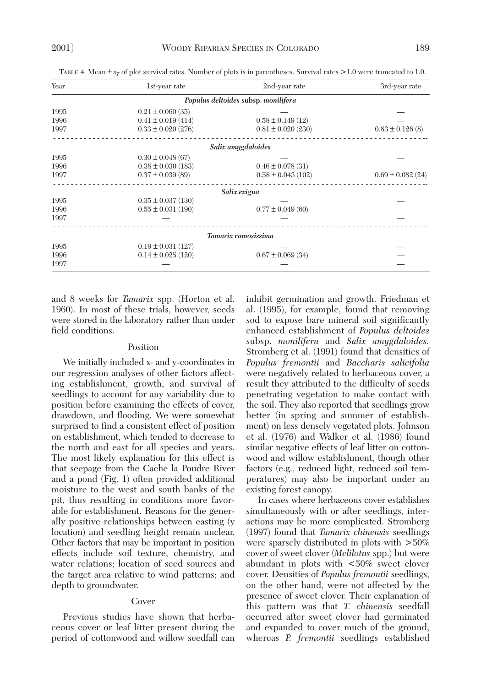| Year                                | 1st-year rate          | 2nd-year rate          | 3rd-year rate         |  |  |  |
|-------------------------------------|------------------------|------------------------|-----------------------|--|--|--|
| Populus deltoides subsp. monilifera |                        |                        |                       |  |  |  |
| 1995                                | $0.21 \pm 0.060$ (35)  |                        |                       |  |  |  |
| 1996                                | $0.41 \pm 0.019(414)$  | $0.58 \pm 0.149$ (12)  |                       |  |  |  |
| 1997                                | $0.33 \pm 0.020$ (276) | $0.81 \pm 0.020$ (230) | $0.83 \pm 0.126$ (8)  |  |  |  |
|                                     |                        | Salix amygdaloides     |                       |  |  |  |
| 1995                                | $0.30 \pm 0.048$ (67)  |                        |                       |  |  |  |
| 1996                                | $0.38 \pm 0.030$ (183) | $0.46 \pm 0.078$ (31)  |                       |  |  |  |
| 1997                                | $0.37 \pm 0.039$ (89)  | $0.58 \pm 0.043$ (102) | $0.69 \pm 0.082$ (24) |  |  |  |
|                                     |                        | Salix exigua           |                       |  |  |  |
| 1995                                | $0.35 \pm 0.037(130)$  |                        |                       |  |  |  |
| 1996                                | $0.55 \pm 0.031(190)$  | $0.77 \pm 0.049$ (60)  |                       |  |  |  |
| 1997                                |                        |                        |                       |  |  |  |
|                                     |                        | Tamarix ramosissima    |                       |  |  |  |
| 1995                                | $0.19 \pm 0.031$ (127) |                        |                       |  |  |  |
| 1996                                | $0.14 \pm 0.025$ (120) | $0.67 \pm 0.069$ (34)  |                       |  |  |  |
| 1997                                |                        |                        |                       |  |  |  |

TABLE 4. Mean ± *sx –* of plot survival rates. Number of plots is in parentheses. Survival rates >1.0 were truncated to 1.0.

and 8 weeks for *Tamarix* spp. (Horton et al. 1960). In most of these trials, however, seeds were stored in the laboratory rather than under field conditions.

#### Position

We initially included x- and y-coordinates in our regression analyses of other factors affecting establishment, growth, and survival of seedlings to account for any variability due to position before examining the effects of cover, drawdown, and flooding. We were somewhat surprised to find a consistent effect of position on establishment, which tended to decrease to the north and east for all species and years. The most likely explanation for this effect is that seepage from the Cache la Poudre River and a pond (Fig. 1) often provided additional moisture to the west and south banks of the pit, thus resulting in conditions more favorable for establishment. Reasons for the generally positive relationships between easting (y location) and seedling height remain unclear. Other factors that may be important in position effects include soil texture, chemistry, and water relations; location of seed sources and the target area relative to wind patterns; and depth to groundwater.

# Cover

Previous studies have shown that herbaceous cover or leaf litter present during the period of cottonwood and willow seedfall can

inhibit germination and growth. Friedman et al. (1995), for example, found that removing sod to expose bare mineral soil significantly enhanced establishment of *Populus deltoides* subsp. *monilifera* and *Salix amygdaloides.* Stromberg et al. (1991) found that densities of *Populus fremontii* and *Baccharis salicifolia* were negatively related to herbaceous cover, a result they attributed to the difficulty of seeds penetrating vegetation to make contact with the soil. They also reported that seedlings grow better (in spring and summer of establishment) on less densely vegetated plots. Johnson et al. (1976) and Walker et al. (1986) found similar negative effects of leaf litter on cottonwood and willow establishment, though other factors (e.g., reduced light, reduced soil temperatures) may also be important under an existing forest canopy.

In cases where herbaceous cover establishes simultaneously with or after seedlings, interactions may be more complicated. Stromberg (1997) found that *Tamarix chinensis* seedlings were sparsely distributed in plots with >50% cover of sweet clover (*Melilotus* spp.) but were abundant in plots with <50% sweet clover cover. Densities of *Populus fremontii* seedlings, on the other hand, were not affected by the presence of sweet clover. Their explanation of this pattern was that *T. chinensis* seedfall occurred after sweet clover had germinated and expanded to cover much of the ground, whereas *P. fremontii* seedlings established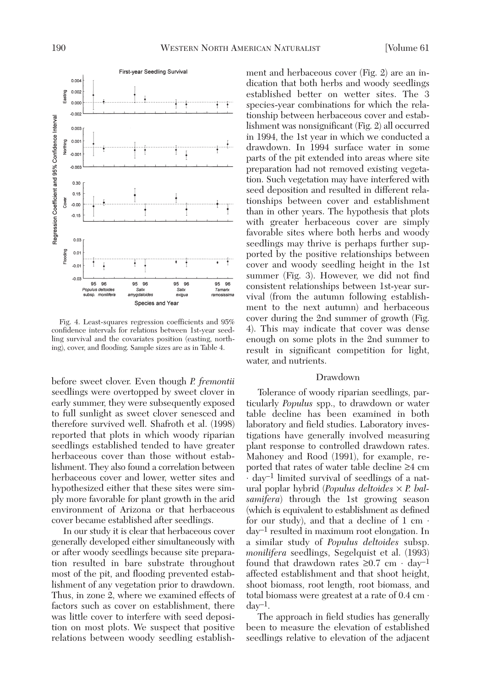

Fig. 4. Least-squares regression coefficients and 95% confidence intervals for relations between 1st-year seedling survival and the covariates position (easting, northing), cover, and flooding. Sample sizes are as in Table 4.

before sweet clover. Even though *P. fremontii* seedlings were overtopped by sweet clover in early summer, they were subsequently exposed to full sunlight as sweet clover senesced and therefore survived well. Shafroth et al. (1998) reported that plots in which woody riparian seedlings established tended to have greater herbaceous cover than those without establishment. They also found a correlation between herbaceous cover and lower, wetter sites and hypothesized either that these sites were simply more favorable for plant growth in the arid environment of Arizona or that herbaceous cover became established after seedlings.

In our study it is clear that herbaceous cover generally developed either simultaneously with or after woody seedlings because site preparation resulted in bare substrate throughout most of the pit, and flooding prevented establishment of any vegetation prior to drawdown. Thus, in zone 2, where we examined effects of factors such as cover on establishment, there was little cover to interfere with seed deposition on most plots. We suspect that positive relations between woody seedling establish-

ment and herbaceous cover (Fig. 2) are an indication that both herbs and woody seedlings established better on wetter sites. The 3 species-year combinations for which the relationship between herbaceous cover and establishment was nonsignificant (Fig. 2) all occurred in 1994, the 1st year in which we conducted a drawdown. In 1994 surface water in some parts of the pit extended into areas where site preparation had not removed existing vegetation. Such vegetation may have interfered with seed deposition and resulted in different relationships between cover and establishment than in other years. The hypothesis that plots with greater herbaceous cover are simply favorable sites where both herbs and woody seedlings may thrive is perhaps further supported by the positive relationships between cover and woody seedling height in the 1st summer (Fig. 3). However, we did not find consistent relationships between 1st-year survival (from the autumn following establishment to the next autumn) and herbaceous cover during the 2nd summer of growth (Fig. 4). This may indicate that cover was dense enough on some plots in the 2nd summer to result in significant competition for light, water, and nutrients.

# Drawdown

Tolerance of woody riparian seedlings, particularly *Populus* spp., to drawdown or water table decline has been examined in both laboratory and field studies. Laboratory investigations have generally involved measuring plant response to controlled drawdown rates. Mahoney and Rood (1991), for example, reported that rates of water table decline ≥4 cm  $\cdot$  day<sup>-1</sup> limited survival of seedlings of a natural poplar hybrid (*Populus deltoides* × *P. balsamifera*) through the 1st growing season (which is equivalent to establishment as defined for our study), and that a decline of  $1 \text{ cm} \cdot$ day–1 resulted in maximum root elongation. In a similar study of *Populus deltoides* subsp. *monilifera* seedlings, Segelquist et al. (1993) found that drawdown rates  $\geq 0.7$  cm · day<sup>-1</sup> affected establishment and that shoot height, shoot biomass, root length, root biomass, and total biomass were greatest at a rate of  $0.4 \text{ cm} \cdot$  $day^{-1}$ .

The approach in field studies has generally been to measure the elevation of established seedlings relative to elevation of the adjacent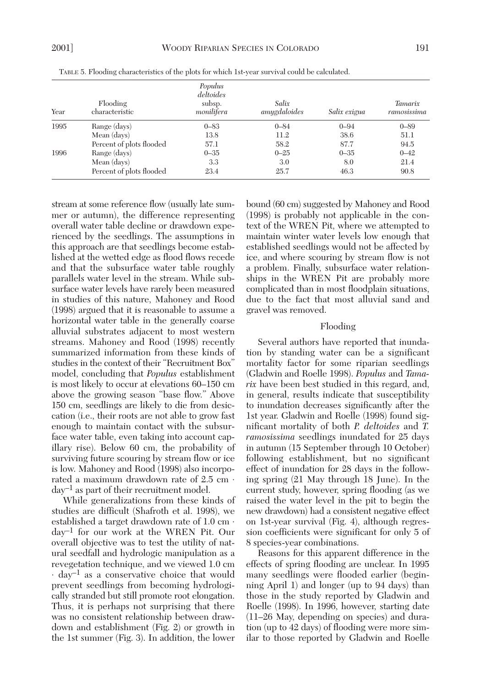| Year | Flooding<br>characteristic | Populus<br>deltoides<br>subsp.<br>monilifera | Salix<br>amygdaloides | Salix exigua | <b>Tamarix</b><br>ramosissima |
|------|----------------------------|----------------------------------------------|-----------------------|--------------|-------------------------------|
| 1995 | Range (days)               | $0 - 83$                                     | $0 - 84$              | $0 - 94$     | $0 - 89$                      |
|      | Mean (days)                | 13.8                                         | 11.2                  | 38.6         | 51.1                          |
|      | Percent of plots flooded   | 57.1                                         | 58.2                  | 87.7         | 94.5                          |
| 1996 | Range (days)               | $0 - 35$                                     | $0 - 25$              | $0 - 35$     | $0 - 42$                      |
|      | Mean (days)                | 3.3                                          | 3.0                   | 8.0          | 21.4                          |
|      | Percent of plots flooded   | 23.4                                         | 25.7                  | 46.3         | 90.8                          |

TABLE 5. Flooding characteristics of the plots for which 1st-year survival could be calculated.

stream at some reference flow (usually late summer or autumn), the difference representing overall water table decline or drawdown experienced by the seedlings. The assumptions in this approach are that seedlings become established at the wetted edge as flood flows recede and that the subsurface water table roughly parallels water level in the stream. While subsurface water levels have rarely been measured in studies of this nature, Mahoney and Rood (1998) argued that it is reasonable to assume a horizontal water table in the generally coarse alluvial substrates adjacent to most western streams. Mahoney and Rood (1998) recently summarized information from these kinds of studies in the context of their "Recruitment Box" model, concluding that *Populus* establishment is most likely to occur at elevations 60–150 cm above the growing season "base flow." Above 150 cm, seedlings are likely to die from desiccation (i.e., their roots are not able to grow fast enough to maintain contact with the subsurface water table, even taking into account capillary rise). Below 60 cm, the probability of surviving future scouring by stream flow or ice is low. Mahoney and Rood (1998) also incorporated a maximum drawdown rate of 2.5 cm ⋅ day–1 as part of their recruitment model.

While generalizations from these kinds of studies are difficult (Shafroth et al. 1998), we established a target drawdown rate of 1.0 cm ⋅ day–1 for our work at the WREN Pit. Our overall objective was to test the utility of natural seedfall and hydrologic manipulation as a revegetation technique, and we viewed 1.0 cm  $\cdot$  day<sup>-1</sup> as a conservative choice that would prevent seedlings from becoming hydrologically stranded but still promote root elongation. Thus, it is perhaps not surprising that there was no consistent relationship between drawdown and establishment (Fig. 2) or growth in the 1st summer (Fig. 3). In addition, the lower bound (60 cm) suggested by Mahoney and Rood (1998) is probably not applicable in the context of the WREN Pit, where we attempted to maintain winter water levels low enough that established seedlings would not be affected by ice, and where scouring by stream flow is not a problem. Finally, subsurface water relationships in the WREN Pit are probably more complicated than in most floodplain situations, due to the fact that most alluvial sand and gravel was removed.

#### Flooding

Several authors have reported that inundation by standing water can be a significant mortality factor for some riparian seedlings (Gladwin and Roelle 1998). *Populus* and *Tamarix* have been best studied in this regard, and, in general, results indicate that susceptibility to inundation decreases significantly after the 1st year. Gladwin and Roelle (1998) found significant mortality of both *P. deltoides* and *T. ramosissima* seedlings inundated for 25 days in autumn (15 September through 10 October) following establishment, but no significant effect of inundation for 28 days in the following spring (21 May through 18 June). In the current study, however, spring flooding (as we raised the water level in the pit to begin the new drawdown) had a consistent negative effect on 1st-year survival (Fig. 4), although regression coefficients were significant for only 5 of 8 species-year combinations.

Reasons for this apparent difference in the effects of spring flooding are unclear. In 1995 many seedlings were flooded earlier (beginning April 1) and longer (up to 94 days) than those in the study reported by Gladwin and Roelle (1998). In 1996, however, starting date (11–26 May, depending on species) and duration (up to 42 days) of flooding were more similar to those reported by Gladwin and Roelle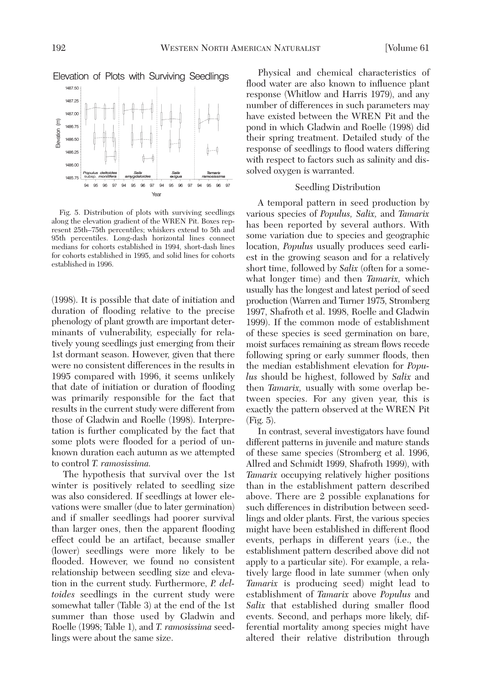

Fig. 5. Distribution of plots with surviving seedlings along the elevation gradient of the WREN Pit. Boxes represent 25th–75th percentiles; whiskers extend to 5th and 95th percentiles. Long-dash horizontal lines connect medians for cohorts established in 1994, short-dash lines for cohorts established in 1995, and solid lines for cohorts established in 1996.

(1998). It is possible that date of initiation and duration of flooding relative to the precise phenology of plant growth are important determinants of vulnerability, especially for relatively young seedlings just emerging from their 1st dormant season. However, given that there were no consistent differences in the results in 1995 compared with 1996, it seems unlikely that date of initiation or duration of flooding was primarily responsible for the fact that results in the current study were different from those of Gladwin and Roelle (1998). Interpretation is further complicated by the fact that some plots were flooded for a period of unknown duration each autumn as we attempted to control *T. ramosissima.*

The hypothesis that survival over the 1st winter is positively related to seedling size was also considered. If seedlings at lower elevations were smaller (due to later germination) and if smaller seedlings had poorer survival than larger ones, then the apparent flooding effect could be an artifact, because smaller (lower) seedlings were more likely to be flooded. However, we found no consistent relationship between seedling size and elevation in the current study. Furthermore, *P. deltoides* seedlings in the current study were somewhat taller (Table 3) at the end of the 1st summer than those used by Gladwin and Roelle (1998; Table 1), and *T. ramosissima* seedlings were about the same size.

Physical and chemical characteristics of flood water are also known to influence plant response (Whitlow and Harris 1979), and any number of differences in such parameters may have existed between the WREN Pit and the pond in which Gladwin and Roelle (1998) did their spring treatment. Detailed study of the response of seedlings to flood waters differing with respect to factors such as salinity and dissolved oxygen is warranted.

# Seedling Distribution

A temporal pattern in seed production by various species of *Populus, Salix,* and *Tamarix* has been reported by several authors. With some variation due to species and geographic location, *Populus* usually produces seed earliest in the growing season and for a relatively short time, followed by *Salix* (often for a somewhat longer time) and then *Tamarix,* which usually has the longest and latest period of seed production (Warren and Turner 1975, Stromberg 1997, Shafroth et al. 1998, Roelle and Gladwin 1999). If the common mode of establishment of these species is seed germination on bare, moist surfaces remaining as stream flows recede following spring or early summer floods, then the median establishment elevation for *Populus* should be highest, followed by *Salix* and then *Tamarix,* usually with some overlap between species. For any given year, this is exactly the pattern observed at the WREN Pit (Fig. 5).

In contrast, several investigators have found different patterns in juvenile and mature stands of these same species (Stromberg et al. 1996, Allred and Schmidt 1999, Shafroth 1999), with *Tamarix* occupying relatively higher positions than in the establishment pattern described above. There are 2 possible explanations for such differences in distribution between seedlings and older plants. First, the various species might have been established in different flood events, perhaps in different years (i.e., the establishment pattern described above did not apply to a particular site). For example, a relatively large flood in late summer (when only *Tamarix* is producing seed) might lead to establishment of *Tamarix* above *Populus* and *Salix* that established during smaller flood events. Second, and perhaps more likely, differential mortality among species might have altered their relative distribution through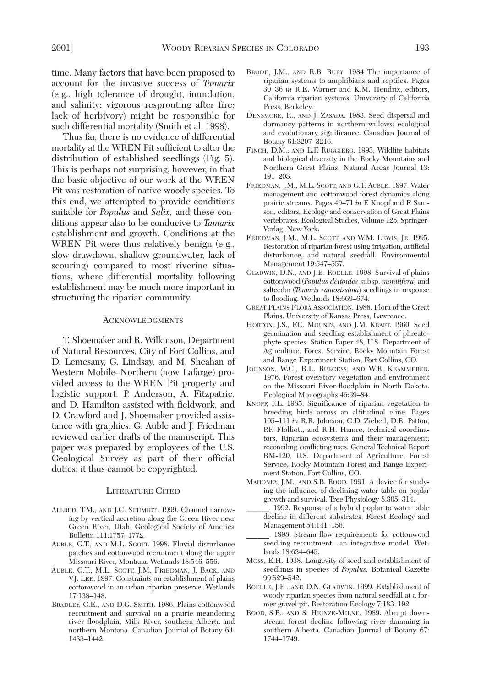time. Many factors that have been proposed to account for the invasive success of *Tamarix* (e.g., high tolerance of drought, inundation, and salinity; vigorous resprouting after fire; lack of herbivory) might be responsible for such differential mortality (Smith et al. 1998).

Thus far, there is no evidence of differential mortality at the WREN Pit sufficient to alter the distribution of established seedlings (Fig. 5). This is perhaps not surprising, however, in that the basic objective of our work at the WREN Pit was restoration of native woody species. To this end, we attempted to provide conditions suitable for *Populus* and *Salix,* and these conditions appear also to be conducive to *Tamarix* establishment and growth. Conditions at the WREN Pit were thus relatively benign (e.g., slow drawdown, shallow groundwater, lack of scouring) compared to most riverine situations, where differential mortality following establishment may be much more important in structuring the riparian community.

#### ACKNOWLEDGMENTS

T. Shoemaker and R. Wilkinson, Department of Natural Resources, City of Fort Collins, and D. Lemesany, G. Lindsay, and M. Sheahan of Western Mobile–Northern (now Lafarge) provided access to the WREN Pit property and logistic support. P. Anderson, A. Fitzpatric, and D. Hamilton assisted with fieldwork, and D. Crawford and J. Shoemaker provided assistance with graphics. G. Auble and J. Friedman reviewed earlier drafts of the manuscript. This paper was prepared by employees of the U.S. Geological Survey as part of their official duties; it thus cannot be copyrighted.

## LITERATURE CITED

- ALLRED, T.M., AND J.C. SCHMIDT. 1999. Channel narrowing by vertical accretion along the Green River near Green River, Utah. Geological Society of America Bulletin 111:1757–1772.
- AUBLE, G.T., AND M.L. SCOTT. 1998. Fluvial disturbance patches and cottonwood recruitment along the upper Missouri River, Montana. Wetlands 18:546–556.
- AUBLE, G.T., M.L. SCOTT, J.M. FRIEDMAN, J. BACK, AND V.J. LEE. 1997. Constraints on establishment of plains cottonwood in an urban riparian preserve. Wetlands 17:138–148.
- BRADLEY, C.E., AND D.G. SMITH. 1986. Plains cottonwood recruitment and survival on a prairie meandering river floodplain, Milk River, southern Alberta and northern Montana. Canadian Journal of Botany 64: 1433–1442.
- BRODE, J.M., AND R.B. BURY. 1984 The importance of riparian systems to amphibians and reptiles. Pages 30–36 *in* R.E. Warner and K.M. Hendrix, editors, California riparian systems. University of California Press, Berkeley.
- DENSMORE, R., AND J. ZASADA. 1983. Seed dispersal and dormancy patterns in northern willows: ecological and evolutionary significance. Canadian Journal of Botany 61:3207–3216.
- FINCH, D.M., AND L.F. RUGGIERO. 1993. Wildlife habitats and biological diversity in the Rocky Mountains and Northern Great Plains. Natural Areas Journal 13: 191–203.
- FRIEDMAN, J.M., M.L. SCOTT, AND G.T. AUBLE. 1997. Water management and cottonwood forest dynamics along prairie streams. Pages 49–71 *in* F. Knopf and F. Samson, editors, Ecology and conservation of Great Plains vertebrates. Ecological Studies, Volume 125. Springer-Verlag, New York.
- FRIEDMAN, J.M., M.L. SCOTT, AND W.M. LEWIS, JR. 1995. Restoration of riparian forest using irrigation, artificial disturbance, and natural seedfall. Environmental Management 19:547–557.
- GLADWIN, D.N., AND J.E. ROELLE. 1998. Survival of plains cottonwood (*Populus deltoides* subsp. *monilifera*) and saltcedar (*Tamarix ramosissima*) seedlings in response to flooding. Wetlands 18:669–674.
- GREAT PLAINS FLORA ASSOCIATION. 1986. Flora of the Great Plains. University of Kansas Press, Lawrence.
- HORTON, J.S., F.C. MOUNTS, AND J.M. KRAFT. 1960. Seed germination and seedling establishment of phreatophyte species. Station Paper 48, U.S. Department of Agriculture, Forest Service, Rocky Mountain Forest and Range Experiment Station, Fort Collins, CO.
- JOHNSON, W.C., R.L. BURGESS, AND W.R. KEAMMERER. 1976. Forest overstory vegetation and environment on the Missouri River floodplain in North Dakota. Ecological Monographs 46:59–84.
- KNOPF, F.L. 1985. Significance of riparian vegetation to breeding birds across an altitudinal cline. Pages 105–111 *in* R.R. Johnson, C.D. Ziebell, D.R. Patton, P.F. Ffolliott, and R.H. Hamre, technical coordinators, Riparian ecosystems and their management: reconciling conflicting uses. General Technical Report RM-120, U.S. Department of Agriculture, Forest Service, Rocky Mountain Forest and Range Experiment Station, Fort Collins, CO.
- MAHONEY, J.M., AND S.B. ROOD. 1991. A device for studying the influence of declining water table on poplar growth and survival. Tree Physiology 8:305–314.
	- 1992. Response of a hybrid poplar to water table decline in different substrates. Forest Ecology and Management 54:141–156.
- \_\_\_\_\_\_. 1998. Stream flow requirements for cottonwood seedling recruitment—an integrative model. Wetlands 18:634–645.
- MOSS, E.H. 1938. Longevity of seed and establishment of seedlings in species of *Populus.* Botanical Gazette 99:529–542.
- ROELLE, J.E., AND D.N. GLADWIN. 1999. Establishment of woody riparian species from natural seedfall at a former gravel pit. Restoration Ecology 7:183–192.
- ROOD, S.B., AND S. HEINZE-MILNE. 1989. Abrupt downstream forest decline following river damming in southern Alberta. Canadian Journal of Botany 67: 1744–1749.